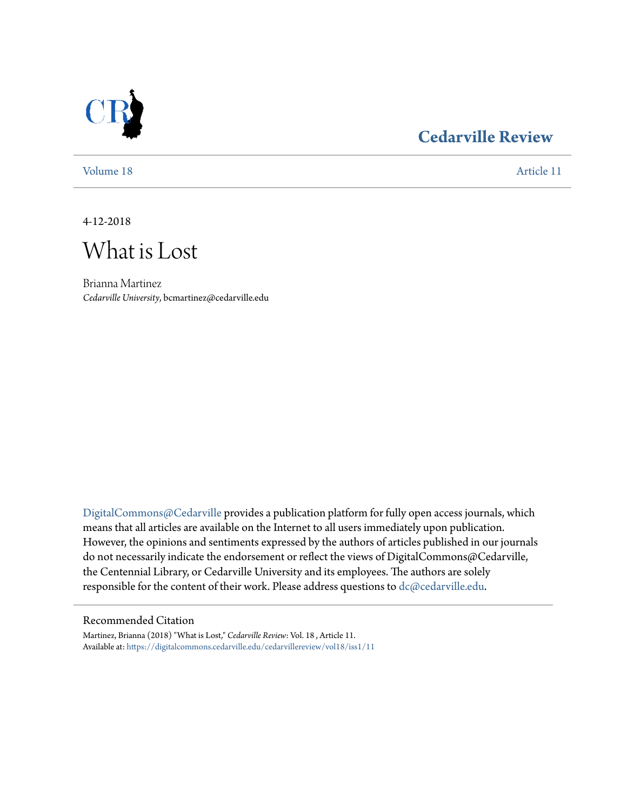

## **[Cedarville Review](https://digitalcommons.cedarville.edu/cedarvillereview?utm_source=digitalcommons.cedarville.edu%2Fcedarvillereview%2Fvol18%2Fiss1%2F11&utm_medium=PDF&utm_campaign=PDFCoverPages)**

[Volume 18](https://digitalcommons.cedarville.edu/cedarvillereview/vol18?utm_source=digitalcommons.cedarville.edu%2Fcedarvillereview%2Fvol18%2Fiss1%2F11&utm_medium=PDF&utm_campaign=PDFCoverPages) [Article 11](https://digitalcommons.cedarville.edu/cedarvillereview/vol18/iss1/11?utm_source=digitalcommons.cedarville.edu%2Fcedarvillereview%2Fvol18%2Fiss1%2F11&utm_medium=PDF&utm_campaign=PDFCoverPages)

4-12-2018

What is Lost

Brianna Martinez *Cedarville University*, bcmartinez@cedarville.edu

[DigitalCommons@Cedarville](http://digitalcommons.cedarville.edu/) provides a publication platform for fully open access journals, which means that all articles are available on the Internet to all users immediately upon publication. However, the opinions and sentiments expressed by the authors of articles published in our journals do not necessarily indicate the endorsement or reflect the views of DigitalCommons@Cedarville, the Centennial Library, or Cedarville University and its employees. The authors are solely responsible for the content of their work. Please address questions to [dc@cedarville.edu](mailto:dc@cedarville.edu).

#### Recommended Citation

Martinez, Brianna (2018) "What is Lost," *Cedarville Review*: Vol. 18 , Article 11. Available at: [https://digitalcommons.cedarville.edu/cedarvillereview/vol18/iss1/11](https://digitalcommons.cedarville.edu/cedarvillereview/vol18/iss1/11?utm_source=digitalcommons.cedarville.edu%2Fcedarvillereview%2Fvol18%2Fiss1%2F11&utm_medium=PDF&utm_campaign=PDFCoverPages)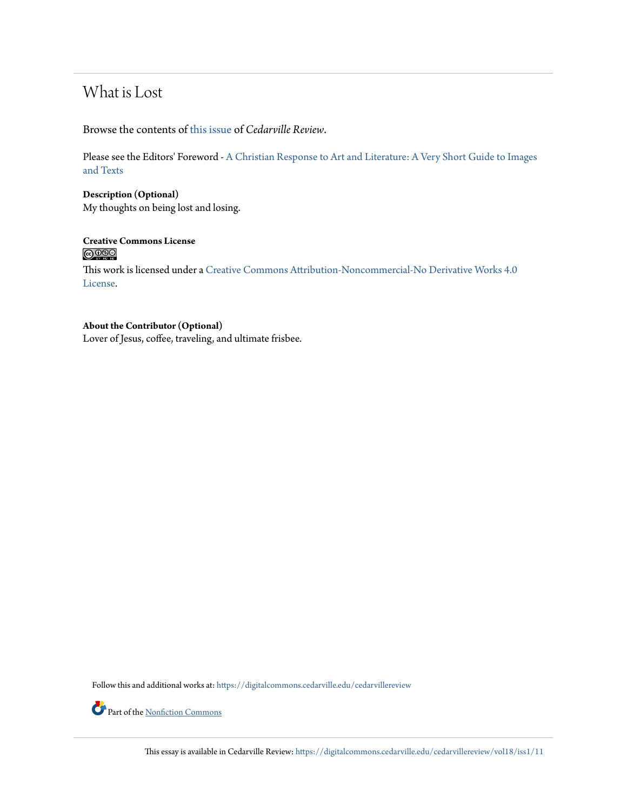## What is Lost

Browse the contents of [this issue](https://digitalcommons.cedarville.edu/cedarvillereview/vol18/iss1) of *Cedarville Review*.

Please see the Editors' Foreword - [A Christian Response to Art and Literature: A Very Short Guide to Images](http://digitalcommons.cedarville.edu/cedarvillereview/vol18/iss1/1/) [and Texts](http://digitalcommons.cedarville.edu/cedarvillereview/vol18/iss1/1/)

**Description (Optional)** My thoughts on being lost and losing.

# Creative Commons License<br> **COOSO**

This work is licensed under a [Creative Commons Attribution-Noncommercial-No Derivative Works 4.0](http://creativecommons.org/licenses/by-nc-nd/4.0/) [License.](http://creativecommons.org/licenses/by-nc-nd/4.0/)

### **About the Contributor (Optional)**

Lover of Jesus, coffee, traveling, and ultimate frisbee.

Follow this and additional works at: [https://digitalcommons.cedarville.edu/cedarvillereview](https://digitalcommons.cedarville.edu/cedarvillereview?utm_source=digitalcommons.cedarville.edu%2Fcedarvillereview%2Fvol18%2Fiss1%2F11&utm_medium=PDF&utm_campaign=PDFCoverPages)



Part of the [Nonfiction Commons](http://network.bepress.com/hgg/discipline/1152?utm_source=digitalcommons.cedarville.edu%2Fcedarvillereview%2Fvol18%2Fiss1%2F11&utm_medium=PDF&utm_campaign=PDFCoverPages)

This essay is available in Cedarville Review: [https://digitalcommons.cedarville.edu/cedarvillereview/vol18/iss1/11](https://digitalcommons.cedarville.edu/cedarvillereview/vol18/iss1/11?utm_source=digitalcommons.cedarville.edu%2Fcedarvillereview%2Fvol18%2Fiss1%2F11&utm_medium=PDF&utm_campaign=PDFCoverPages)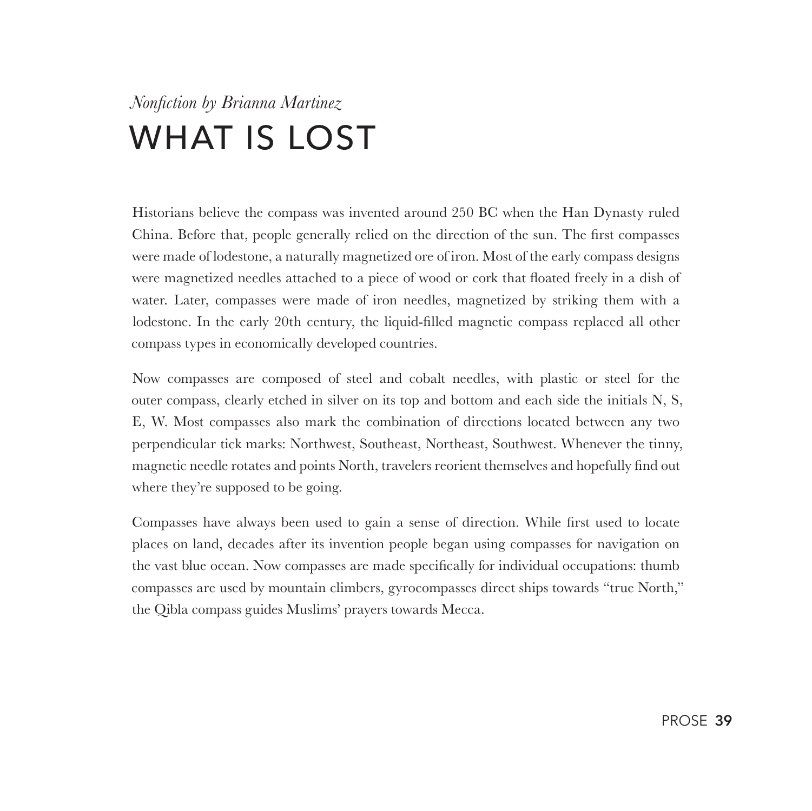# *Nonfiction by Brianna Martinez* WHAT IS LOST

Historians believe the compass was invented around 250 BC when the Han Dynasty ruled China. Before that, people generally relied on the direction of the sun. The first compasses were made of lodestone, a naturally magnetized ore of iron. Most of the early compass designs were magnetized needles attached to a piece of wood or cork that floated freely in a dish of water. Later, compasses were made of iron needles, magnetized by striking them with a lodestone. In the early 20th century, the liquid-filled magnetic compass replaced all other compass types in economically developed countries.

Now compasses are composed of steel and cobalt needles, with plastic or steel for the outer compass, clearly etched in silver on its top and bottom and each side the initials N, S, E, W. Most compasses also mark the combination of directions located between any two perpendicular tick marks: Northwest, Southeast, Northeast, Southwest. Whenever the tinny, magnetic needle rotates and points North, travelers reorient themselves and hopefully find out where they're supposed to be going.

Compasses have always been used to gain a sense of direction. While first used to locate places on land, decades after its invention people began using compasses for navigation on the vast blue ocean. Now compasses are made specifically for individual occupations: thumb compasses are used by mountain climbers, gyrocompasses direct ships towards "true North," the Qibla compass guides Muslims' prayers towards Mecca.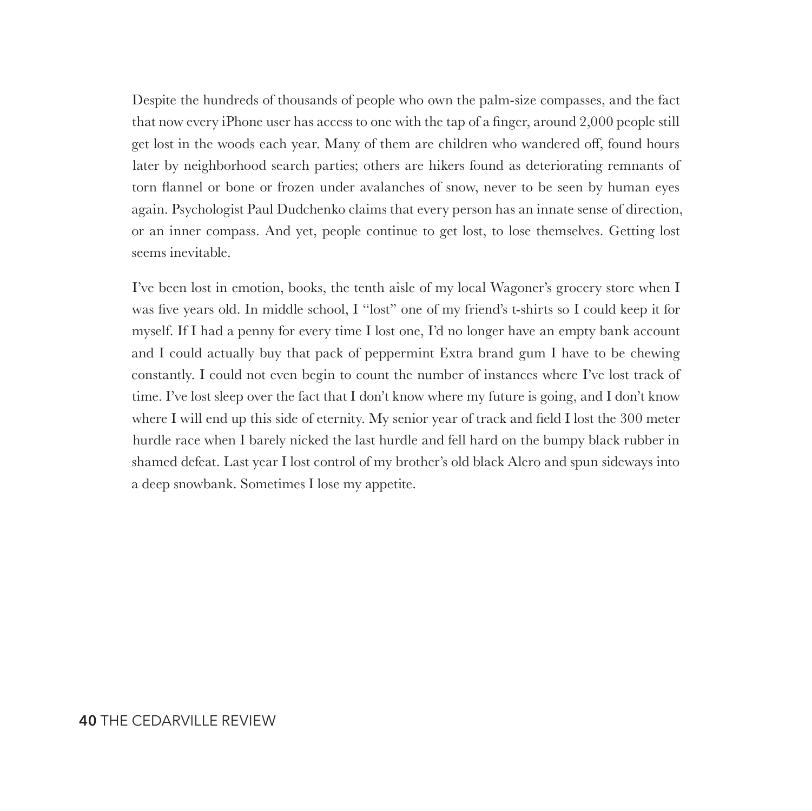Despite the hundreds of thousands of people who own the palm-size compasses, and the fact that now every iPhone user has access to one with the tap of a finger, around 2,000 people still get lost in the woods each year. Many of them are children who wandered off, found hours later by neighborhood search parties; others are hikers found as deteriorating remnants of torn flannel or bone or frozen under avalanches of snow, never to be seen by human eyes again. Psychologist Paul Dudchenko claims that every person has an innate sense of direction, or an inner compass. And yet, people continue to get lost, to lose themselves. Getting lost seems inevitable.

I've been lost in emotion, books, the tenth aisle of my local Wagoner's grocery store when I was five years old. In middle school, I "lost" one of my friend's t-shirts so I could keep it for myself. If I had a penny for every time I lost one, I'd no longer have an empty bank account and I could actually buy that pack of peppermint Extra brand gum I have to be chewing constantly. I could not even begin to count the number of instances where I've lost track of time. I've lost sleep over the fact that I don't know where my future is going, and I don't know where I will end up this side of eternity. My senior year of track and field I lost the 300 meter hurdle race when I barely nicked the last hurdle and fell hard on the bumpy black rubber in shamed defeat. Last year I lost control of my brother's old black Alero and spun sideways into a deep snowbank. Sometimes I lose my appetite.

#### **40** THE CEDARVILLE REVIEW